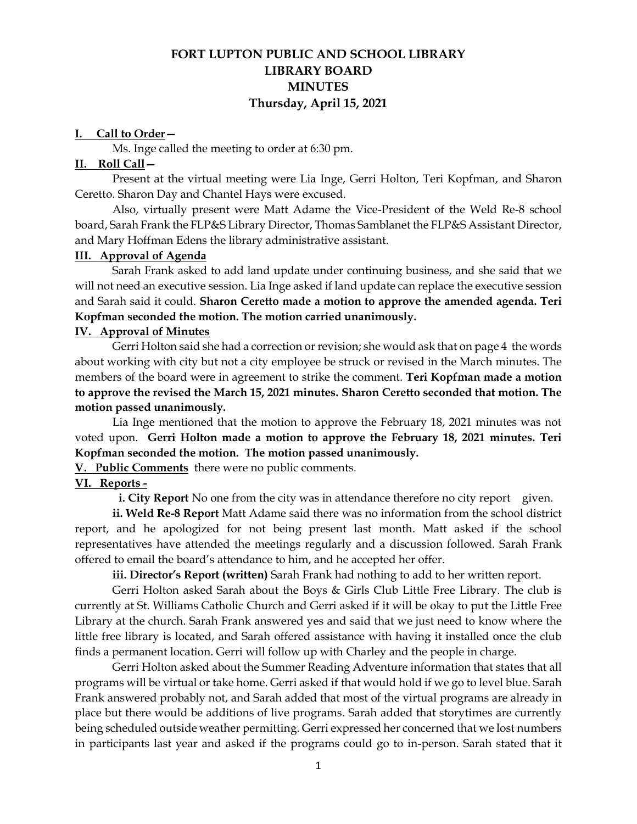# **FORT LUPTON PUBLIC AND SCHOOL LIBRARY LIBRARY BOARD MINUTES Thursday, April 15, 2021**

#### **I. Call to Order—**

Ms. Inge called the meeting to order at 6:30 pm.

#### **II. Roll Call—**

Present at the virtual meeting were Lia Inge, Gerri Holton, Teri Kopfman, and Sharon Ceretto. Sharon Day and Chantel Hays were excused.

Also, virtually present were Matt Adame the Vice-President of the Weld Re-8 school board, Sarah Frank the FLP&S Library Director, Thomas Samblanet the FLP&S Assistant Director, and Mary Hoffman Edens the library administrative assistant.

### **III. Approval of Agenda**

Sarah Frank asked to add land update under continuing business, and she said that we will not need an executive session. Lia Inge asked if land update can replace the executive session and Sarah said it could. **Sharon Ceretto made a motion to approve the amended agenda. Teri Kopfman seconded the motion. The motion carried unanimously.** 

### **IV. Approval of Minutes**

Gerri Holton said she had a correction or revision; she would ask that on page 4 the words about working with city but not a city employee be struck or revised in the March minutes. The members of the board were in agreement to strike the comment. **Teri Kopfman made a motion to approve the revised the March 15, 2021 minutes. Sharon Ceretto seconded that motion. The motion passed unanimously.** 

Lia Inge mentioned that the motion to approve the February 18, 2021 minutes was not voted upon. **Gerri Holton made a motion to approve the February 18, 2021 minutes. Teri Kopfman seconded the motion. The motion passed unanimously.**

**V. Public Comments** there were no public comments.

### **VI. Reports -**

**i. City Report** No one from the city was in attendance therefore no city report given.

**ii. Weld Re-8 Report** Matt Adame said there was no information from the school district report, and he apologized for not being present last month. Matt asked if the school representatives have attended the meetings regularly and a discussion followed. Sarah Frank offered to email the board's attendance to him, and he accepted her offer.

**iii. Director's Report (written)** Sarah Frank had nothing to add to her written report.

Gerri Holton asked Sarah about the Boys & Girls Club Little Free Library. The club is currently at St. Williams Catholic Church and Gerri asked if it will be okay to put the Little Free Library at the church. Sarah Frank answered yes and said that we just need to know where the little free library is located, and Sarah offered assistance with having it installed once the club finds a permanent location. Gerri will follow up with Charley and the people in charge.

Gerri Holton asked about the Summer Reading Adventure information that states that all programs will be virtual or take home. Gerri asked if that would hold if we go to level blue. Sarah Frank answered probably not, and Sarah added that most of the virtual programs are already in place but there would be additions of live programs. Sarah added that storytimes are currently being scheduled outside weather permitting. Gerri expressed her concerned that we lost numbers in participants last year and asked if the programs could go to in-person. Sarah stated that it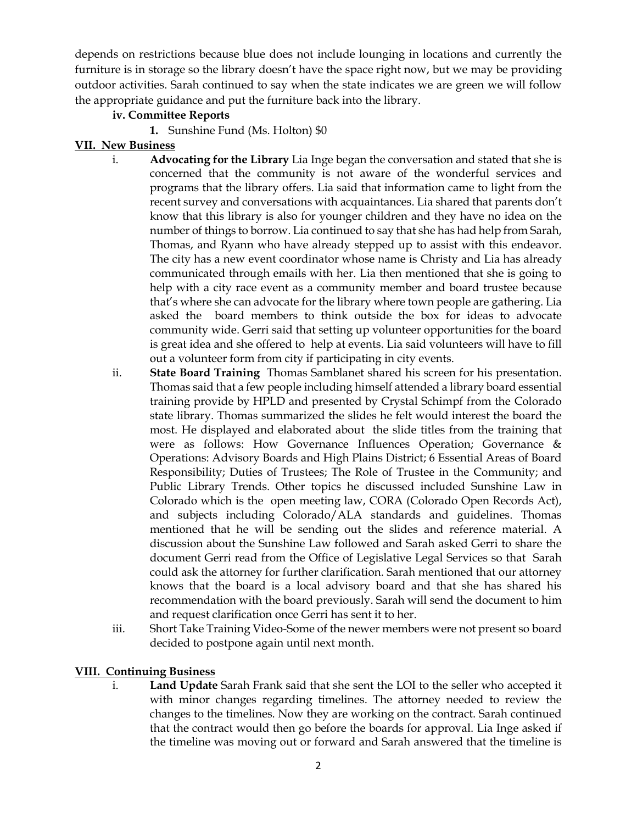depends on restrictions because blue does not include lounging in locations and currently the furniture is in storage so the library doesn't have the space right now, but we may be providing outdoor activities. Sarah continued to say when the state indicates we are green we will follow the appropriate guidance and put the furniture back into the library.

## **iv. Committee Reports**

**1.** Sunshine Fund (Ms. Holton) \$0

## **VII. New Business**

- i. **Advocating for the Library** Lia Inge began the conversation and stated that she is concerned that the community is not aware of the wonderful services and programs that the library offers. Lia said that information came to light from the recent survey and conversations with acquaintances. Lia shared that parents don't know that this library is also for younger children and they have no idea on the number of things to borrow. Lia continued to say that she has had help from Sarah, Thomas, and Ryann who have already stepped up to assist with this endeavor. The city has a new event coordinator whose name is Christy and Lia has already communicated through emails with her. Lia then mentioned that she is going to help with a city race event as a community member and board trustee because that's where she can advocate for the library where town people are gathering. Lia asked the board members to think outside the box for ideas to advocate community wide. Gerri said that setting up volunteer opportunities for the board is great idea and she offered to help at events. Lia said volunteers will have to fill out a volunteer form from city if participating in city events.
- ii. **State Board Training** Thomas Samblanet shared his screen for his presentation. Thomas said that a few people including himself attended a library board essential training provide by HPLD and presented by Crystal Schimpf from the Colorado state library. Thomas summarized the slides he felt would interest the board the most. He displayed and elaborated about the slide titles from the training that were as follows: How Governance Influences Operation; Governance & Operations: Advisory Boards and High Plains District; 6 Essential Areas of Board Responsibility; Duties of Trustees; The Role of Trustee in the Community; and Public Library Trends. Other topics he discussed included Sunshine Law in Colorado which is the open meeting law, CORA (Colorado Open Records Act), and subjects including Colorado/ALA standards and guidelines. Thomas mentioned that he will be sending out the slides and reference material. A discussion about the Sunshine Law followed and Sarah asked Gerri to share the document Gerri read from the Office of Legislative Legal Services so that Sarah could ask the attorney for further clarification. Sarah mentioned that our attorney knows that the board is a local advisory board and that she has shared his recommendation with the board previously. Sarah will send the document to him and request clarification once Gerri has sent it to her.
- iii. Short Take Training Video-Some of the newer members were not present so board decided to postpone again until next month.

## **VIII. Continuing Business**

i. **Land Update** Sarah Frank said that she sent the LOI to the seller who accepted it with minor changes regarding timelines. The attorney needed to review the changes to the timelines. Now they are working on the contract. Sarah continued that the contract would then go before the boards for approval. Lia Inge asked if the timeline was moving out or forward and Sarah answered that the timeline is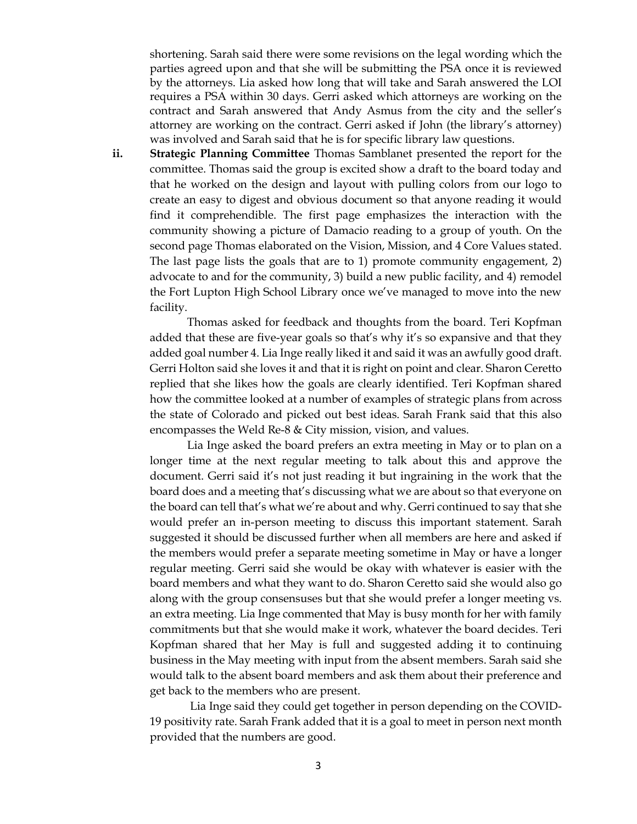shortening. Sarah said there were some revisions on the legal wording which the parties agreed upon and that she will be submitting the PSA once it is reviewed by the attorneys. Lia asked how long that will take and Sarah answered the LOI requires a PSA within 30 days. Gerri asked which attorneys are working on the contract and Sarah answered that Andy Asmus from the city and the seller's attorney are working on the contract. Gerri asked if John (the library's attorney) was involved and Sarah said that he is for specific library law questions.

**ii. Strategic Planning Committee** Thomas Samblanet presented the report for the committee. Thomas said the group is excited show a draft to the board today and that he worked on the design and layout with pulling colors from our logo to create an easy to digest and obvious document so that anyone reading it would find it comprehendible. The first page emphasizes the interaction with the community showing a picture of Damacio reading to a group of youth. On the second page Thomas elaborated on the Vision, Mission, and 4 Core Values stated. The last page lists the goals that are to 1) promote community engagement, 2) advocate to and for the community, 3) build a new public facility, and 4) remodel the Fort Lupton High School Library once we've managed to move into the new facility.

Thomas asked for feedback and thoughts from the board. Teri Kopfman added that these are five-year goals so that's why it's so expansive and that they added goal number 4. Lia Inge really liked it and said it was an awfully good draft. Gerri Holton said she loves it and that it is right on point and clear. Sharon Ceretto replied that she likes how the goals are clearly identified. Teri Kopfman shared how the committee looked at a number of examples of strategic plans from across the state of Colorado and picked out best ideas. Sarah Frank said that this also encompasses the Weld Re-8 & City mission, vision, and values.

Lia Inge asked the board prefers an extra meeting in May or to plan on a longer time at the next regular meeting to talk about this and approve the document. Gerri said it's not just reading it but ingraining in the work that the board does and a meeting that's discussing what we are about so that everyone on the board can tell that's what we're about and why. Gerri continued to say that she would prefer an in-person meeting to discuss this important statement. Sarah suggested it should be discussed further when all members are here and asked if the members would prefer a separate meeting sometime in May or have a longer regular meeting. Gerri said she would be okay with whatever is easier with the board members and what they want to do. Sharon Ceretto said she would also go along with the group consensuses but that she would prefer a longer meeting vs. an extra meeting. Lia Inge commented that May is busy month for her with family commitments but that she would make it work, whatever the board decides. Teri Kopfman shared that her May is full and suggested adding it to continuing business in the May meeting with input from the absent members. Sarah said she would talk to the absent board members and ask them about their preference and get back to the members who are present.

Lia Inge said they could get together in person depending on the COVID-19 positivity rate. Sarah Frank added that it is a goal to meet in person next month provided that the numbers are good.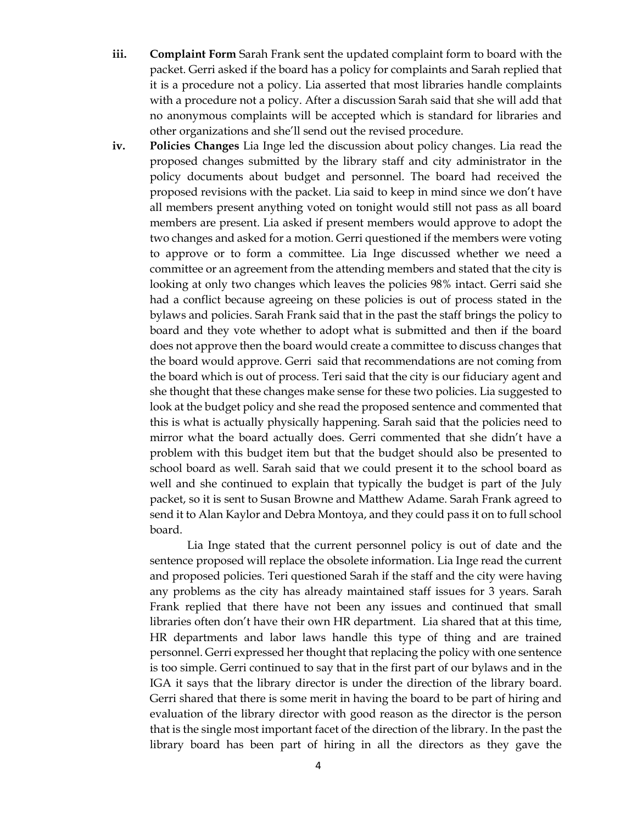- **iii. Complaint Form** Sarah Frank sent the updated complaint form to board with the packet. Gerri asked if the board has a policy for complaints and Sarah replied that it is a procedure not a policy. Lia asserted that most libraries handle complaints with a procedure not a policy. After a discussion Sarah said that she will add that no anonymous complaints will be accepted which is standard for libraries and other organizations and she'll send out the revised procedure.
- **iv. Policies Changes** Lia Inge led the discussion about policy changes. Lia read the proposed changes submitted by the library staff and city administrator in the policy documents about budget and personnel. The board had received the proposed revisions with the packet. Lia said to keep in mind since we don't have all members present anything voted on tonight would still not pass as all board members are present. Lia asked if present members would approve to adopt the two changes and asked for a motion. Gerri questioned if the members were voting to approve or to form a committee. Lia Inge discussed whether we need a committee or an agreement from the attending members and stated that the city is looking at only two changes which leaves the policies 98% intact. Gerri said she had a conflict because agreeing on these policies is out of process stated in the bylaws and policies. Sarah Frank said that in the past the staff brings the policy to board and they vote whether to adopt what is submitted and then if the board does not approve then the board would create a committee to discuss changes that the board would approve. Gerri said that recommendations are not coming from the board which is out of process. Teri said that the city is our fiduciary agent and she thought that these changes make sense for these two policies. Lia suggested to look at the budget policy and she read the proposed sentence and commented that this is what is actually physically happening. Sarah said that the policies need to mirror what the board actually does. Gerri commented that she didn't have a problem with this budget item but that the budget should also be presented to school board as well. Sarah said that we could present it to the school board as well and she continued to explain that typically the budget is part of the July packet, so it is sent to Susan Browne and Matthew Adame. Sarah Frank agreed to send it to Alan Kaylor and Debra Montoya, and they could pass it on to full school board.

Lia Inge stated that the current personnel policy is out of date and the sentence proposed will replace the obsolete information. Lia Inge read the current and proposed policies. Teri questioned Sarah if the staff and the city were having any problems as the city has already maintained staff issues for 3 years. Sarah Frank replied that there have not been any issues and continued that small libraries often don't have their own HR department. Lia shared that at this time, HR departments and labor laws handle this type of thing and are trained personnel. Gerri expressed her thought that replacing the policy with one sentence is too simple. Gerri continued to say that in the first part of our bylaws and in the IGA it says that the library director is under the direction of the library board. Gerri shared that there is some merit in having the board to be part of hiring and evaluation of the library director with good reason as the director is the person that is the single most important facet of the direction of the library. In the past the library board has been part of hiring in all the directors as they gave the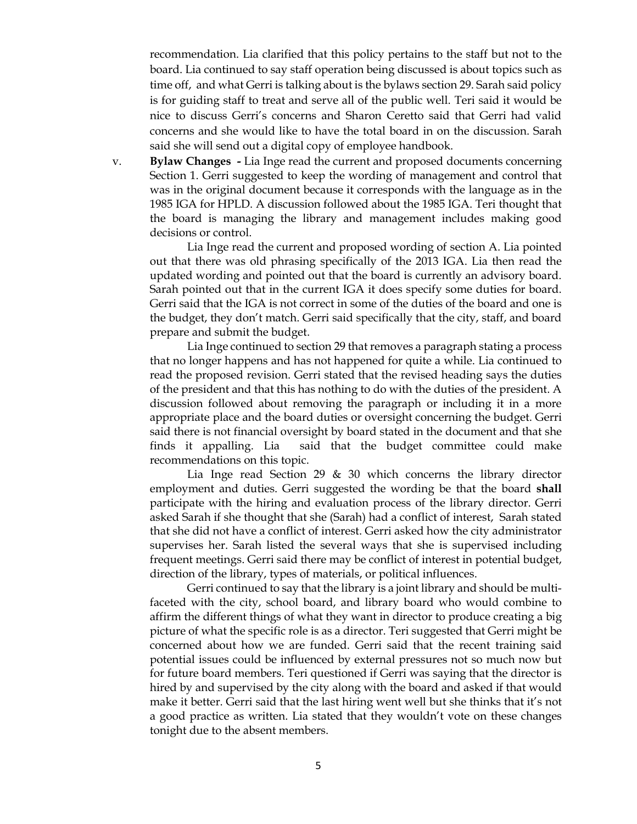recommendation. Lia clarified that this policy pertains to the staff but not to the board. Lia continued to say staff operation being discussed is about topics such as time off, and what Gerri is talking about is the bylaws section 29. Sarah said policy is for guiding staff to treat and serve all of the public well. Teri said it would be nice to discuss Gerri's concerns and Sharon Ceretto said that Gerri had valid concerns and she would like to have the total board in on the discussion. Sarah said she will send out a digital copy of employee handbook.

v. **Bylaw Changes -** Lia Inge read the current and proposed documents concerning Section 1. Gerri suggested to keep the wording of management and control that was in the original document because it corresponds with the language as in the 1985 IGA for HPLD. A discussion followed about the 1985 IGA. Teri thought that the board is managing the library and management includes making good decisions or control.

Lia Inge read the current and proposed wording of section A. Lia pointed out that there was old phrasing specifically of the 2013 IGA. Lia then read the updated wording and pointed out that the board is currently an advisory board. Sarah pointed out that in the current IGA it does specify some duties for board. Gerri said that the IGA is not correct in some of the duties of the board and one is the budget, they don't match. Gerri said specifically that the city, staff, and board prepare and submit the budget.

Lia Inge continued to section 29 that removes a paragraph stating a process that no longer happens and has not happened for quite a while. Lia continued to read the proposed revision. Gerri stated that the revised heading says the duties of the president and that this has nothing to do with the duties of the president. A discussion followed about removing the paragraph or including it in a more appropriate place and the board duties or oversight concerning the budget. Gerri said there is not financial oversight by board stated in the document and that she finds it appalling. Lia said that the budget committee could make recommendations on this topic.

Lia Inge read Section 29 & 30 which concerns the library director employment and duties. Gerri suggested the wording be that the board **shall** participate with the hiring and evaluation process of the library director. Gerri asked Sarah if she thought that she (Sarah) had a conflict of interest, Sarah stated that she did not have a conflict of interest. Gerri asked how the city administrator supervises her. Sarah listed the several ways that she is supervised including frequent meetings. Gerri said there may be conflict of interest in potential budget, direction of the library, types of materials, or political influences.

Gerri continued to say that the library is a joint library and should be multifaceted with the city, school board, and library board who would combine to affirm the different things of what they want in director to produce creating a big picture of what the specific role is as a director. Teri suggested that Gerri might be concerned about how we are funded. Gerri said that the recent training said potential issues could be influenced by external pressures not so much now but for future board members. Teri questioned if Gerri was saying that the director is hired by and supervised by the city along with the board and asked if that would make it better. Gerri said that the last hiring went well but she thinks that it's not a good practice as written. Lia stated that they wouldn't vote on these changes tonight due to the absent members.